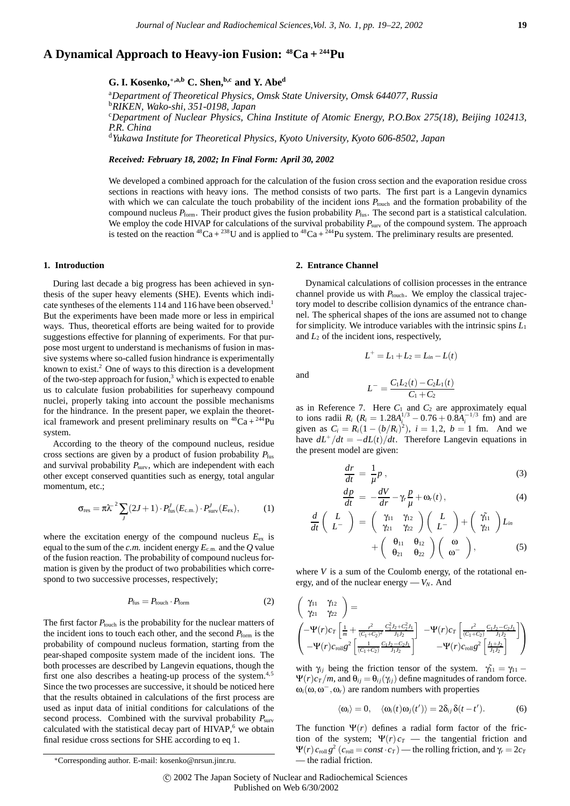# **A Dynamical Approach to Heavy-ion Fusion: 48Ca + 244Pu**

## **G. I. Kosenko,**∗**,a,b C. Shen,b,c and Y. Abed**

a *Department of Theoretical Physics, Omsk State University, Omsk 644077, Russia* b *RIKEN, Wako-shi, 351-0198, Japan* c *Department of Nuclear Physics, China Institute of Atomic Energy, P.O.Box 275(18), Beijing 102413, P.R. China* d *Yukawa Institute for Theoretical Physics, Kyoto University, Kyoto 606-8502, Japan*

*Received: February 18, 2002; In Final Form: April 30, 2002*

We developed a combined approach for the calculation of the fusion cross section and the evaporation residue cross sections in reactions with heavy ions. The method consists of two parts. The first part is a Langevin dynamics with which we can calculate the touch probability of the incident ions  $P_{\text{touch}}$  and the formation probability of the compound nucleus *P*form. Their product gives the fusion probability *P*fus. The second part is a statistical calculation. We employ the code HIVAP for calculations of the survival probability  $P_{\text{surv}}$  of the compound system. The approach is tested on the reaction <sup>48</sup>Ca + <sup>238</sup>U and is applied to <sup>48</sup>Ca + <sup>244</sup>Pu system. The preliminary results are presented.

## **1. Introduction**

During last decade a big progress has been achieved in synthesis of the super heavy elements (SHE). Events which indicate syntheses of the elements 114 and 116 have been observed.<sup>1</sup> But the experiments have been made more or less in empirical ways. Thus, theoretical efforts are being waited for to provide suggestions effective for planning of experiments. For that purpose most urgent to understand is mechanisms of fusion in massive systems where so-called fusion hindrance is experimentally known to exist.<sup>2</sup> One of ways to this direction is a development of the two-step approach for fusion, $3$  which is expected to enable us to calculate fusion probabilities for superheavy compound nuclei, properly taking into account the possible mechanisms for the hindrance. In the present paper, we explain the theoretical framework and present preliminary results on  ${}^{48}Ca + {}^{244}Pu$ system.

According to the theory of the compound nucleus, residue cross sections are given by a product of fusion probability  $P_{\text{fus}}$ and survival probability  $P_{\text{surv}}$ , which are independent with each other except conserved quantities such as energy, total angular momentum, etc.;

$$
\sigma_{\rm res} = \pi \lambda^{-2} \sum_{J} (2J+1) \cdot P_{\rm fus}^J(E_{\rm c.m.}) \cdot P_{\rm surv}^J(E_{\rm ex}),\tag{1}
$$

where the excitation energy of the compound nucleus  $E_{ex}$  is equal to the sum of the *c.m.* incident energy *E*<sup>c</sup>*.*m*.* and the *Q* value of the fusion reaction. The probability of compound nucleus formation is given by the product of two probabilities which correspond to two successive processes, respectively;

$$
P_{\text{fus}} = P_{\text{touch}} \cdot P_{\text{form}} \tag{2}
$$

The first factor  $P_{\text{touch}}$  is the probability for the nuclear matters of the incident ions to touch each other, and the second  $P_{\text{form}}$  is the probability of compound nucleus formation, starting from the pear-shaped composite system made of the incident ions. The both processes are described by Langevin equations, though the first one also describes a heating-up process of the system. $4,5$ Since the two processes are successive, it should be noticed here that the results obtained in calculations of the first process are used as input data of initial conditions for calculations of the second process. Combined with the survival probability  $P_{\text{surv}}$ calculated with the statistical decay part of HIVAP, $6$  we obtain final residue cross sections for SHE according to eq 1.

### **2. Entrance Channel**

Dynamical calculations of collision processes in the entrance channel provide us with  $P_{\text{touch}}$ . We employ the classical trajectory model to describe collision dynamics of the entrance channel. The spherical shapes of the ions are assumed not to change for simplicity. We introduce variables with the intrinsic spins  $L_1$ and  $L_2$  of the incident ions, respectively,

and

$$
L^{-} = \frac{C_1 L_2(t) - C_2 L_1(t)}{C_1 + C_2}
$$

 $L^+ = L_1 + L_2 = L_{in} - L(t)$ 

as in Reference 7. Here  $C_1$  and  $C_2$  are approximately equal to ions radii  $R_i$  ( $R_i = 1.28A_i^{1/3} - 0.76 + 0.8A_i^{-1/3}$  fm) and are given as  $C_i = R_i(1 - (b/R_i)^2)$ ,  $i = 1, 2, b = 1$  fm. And we have  $dL^+/dt = -dL(t)/dt$ . Therefore Langevin equations in the present model are given:

$$
\frac{dr}{dt} = \frac{1}{\mu}p\,,\tag{3}
$$

$$
\frac{dp}{dt} = -\frac{dV}{dr} - \gamma_r \frac{p}{\mu} + \omega_r(t),\tag{4}
$$

$$
\frac{d}{dt}\left(\begin{array}{c}L\\L^{-}\end{array}\right)=\left(\begin{array}{cc}\gamma_{11}&\gamma_{12}\\ \gamma_{21}&\gamma_{22}\end{array}\right)\left(\begin{array}{c}L\\L^{-}\end{array}\right)+\left(\begin{array}{c}\gamma_{11}\\ \gamma_{21}\end{array}\right)L_{in}\\ \qquad+\left(\begin{array}{cc}\theta_{11}&\theta_{12}\\ \theta_{21}&\theta_{22}\end{array}\right)\left(\begin{array}{c}\omega\\ \omega^{-}\end{array}\right),\qquad(5)
$$

where *V* is a sum of the Coulomb energy, of the rotational energy, and of the nuclear energy  $-V_N$ . And

$$
\begin{pmatrix}\n\gamma_{11} & \gamma_{12} \\
\gamma_{21} & \gamma_{22}\n\end{pmatrix} = \n\begin{pmatrix}\n-\Psi(r)c_T \left[ \frac{1}{m} + \frac{r^2}{(C_1 + C_2)^2} \frac{C_1^2 J_2 + C_2^2 J_1}{J_1 J_2} \right] & -\Psi(r)c_T \left[ \frac{r^2}{(C_1 + C_2)} \frac{C_1 J_2 - C_2 J_1}{J_1 J_2} \right] \\
-\Psi(r)c_{\text{roll}} g^2 \left[ \frac{1}{(C_1 + C_2)} \frac{C_1 J_2 - C_2 J_1}{J_1 J_2} \right] & -\Psi(r)c_{\text{roll}} g^2 \left[ \frac{J_1 + J_2}{J_1 J_2} \right]\n\end{pmatrix}
$$

with  $\gamma_{ij}$  being the friction tensor of the system.  $\gamma_{11} = \gamma_{11} - \gamma_{21}$  $\Psi(r)c_T/m$ , and  $\theta_{ij} = \theta_{ij}(\gamma_{ij})$  define magnitudes of random force.  $\omega_i(\omega, \omega^-, \omega_r)$  are random numbers with properties

$$
\langle \omega_i \rangle = 0, \quad \langle \omega_i(t) \omega_j(t') \rangle = 2 \delta_{ij} \delta(t - t'). \tag{6}
$$

The function  $\Psi(r)$  defines a radial form factor of the friction of the system;  $\Psi(r) c_T$  — the tangential friction and  $\Psi(r)$   $c_{\text{roll}} g^2$  ( $c_{\text{roll}} = const \cdot c_T$ ) — the rolling friction, and  $\gamma_r = 2c_T$ — the radial friction.

<sup>∗</sup>Corresponding author. E-mail: kosenko@nrsun.jinr.ru.

c 2002 The Japan Society of Nuclear and Radiochemical Sciences Published on Web 6/30/2002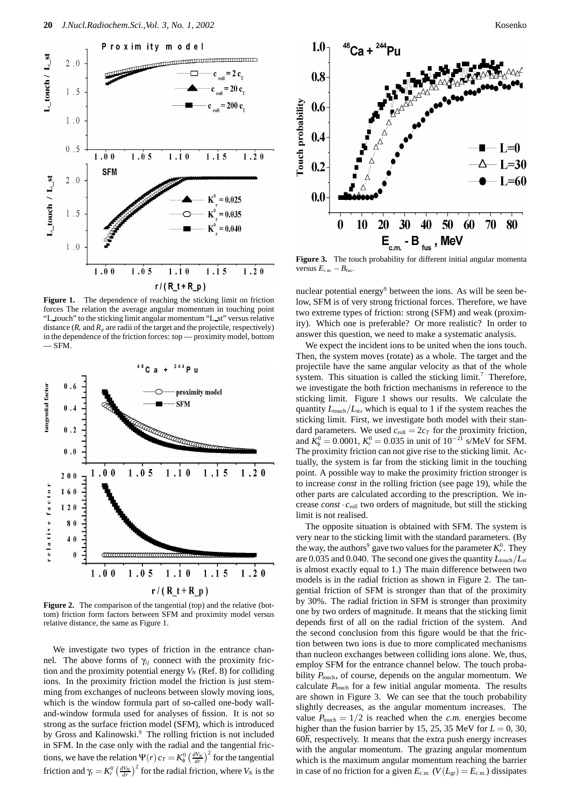

Figure 1. The dependence of reaching the sticking limit on friction forces The relation the average angular momentum in touching point "L touch" to the sticking limit angular momentum "L st" versus relative distance  $(R_t$  and  $R_p$  are radii of the target and the projectile, respectively) in the dependence of the friction forces: top — proximity model, bottom — SFM.



**Figure 2.** The comparison of the tangential (top) and the relative (bottom) friction form factors between SFM and proximity model versus relative distance, the same as Figure 1.

We investigate two types of friction in the entrance channel. The above forms of  $\gamma_{ij}$  connect with the proximity friction and the proximity potential energy  $V_N$  (Ref. 8) for colliding ions. In the proximity friction model the friction is just stemming from exchanges of nucleons between slowly moving ions, which is the window formula part of so-called one-body walland-window formula used for analyses of fission. It is not so strong as the surface friction model (SFM), which is introduced by Gross and Kalinowski.<sup>9</sup> The rolling friction is not included in SFM. In the case only with the radial and the tangential frictions, we have the relation  $\Psi(r) c_T = K_\phi^0 \left(\frac{dV_N}{dr}\right)^2$  for the tangential friction and  $\gamma_r = K_r^0 \left(\frac{dV_N}{dr}\right)^2$  for the radial friction, where  $V_N$  is the



**Figure 3.** The touch probability for different initial angular momenta versus  $E_{c.m.} - B_{fus}.$ 

nuclear potential energy $9$  between the ions. As will be seen below, SFM is of very strong frictional forces. Therefore, we have two extreme types of friction: strong (SFM) and weak (proximity). Which one is preferable? Or more realistic? In order to answer this question, we need to make a systematic analysis.

We expect the incident ions to be united when the ions touch. Then, the system moves (rotate) as a whole. The target and the projectile have the same angular velocity as that of the whole system. This situation is called the sticking  $limit<sup>7</sup>$  Therefore, we investigate the both friction mechanisms in reference to the sticking limit. Figure 1 shows our results. We calculate the quantity  $L_{\text{touch}}/L_{\text{st}}$ , which is equal to 1 if the system reaches the sticking limit. First, we investigate both model with their standard parameters. We used  $c_{\text{roll}} = 2c_T$  for the proximity friction, and  $K^0_\phi = 0.0001$ ,  $K^0_r = 0.035$  in unit of  $10^{-21}$  s/MeV for SFM. The proximity friction can not give rise to the sticking limit. Actually, the system is far from the sticking limit in the touching point. A possible way to make the proximity friction stronger is to increase *const* in the rolling friction (see page 19), while the other parts are calculated according to the prescription. We increase  $const \cdot c_{roll}$  two orders of magnitude, but still the sticking limit is not realised.

The opposite situation is obtained with SFM. The system is very near to the sticking limit with the standard parameters. (By the way, the authors $^9$  gave two values for the parameter  $K_r^0$ . They are 0.035 and 0.040. The second one gives the quantity  $L_{\text{touch}}/L_{\text{st}}$ is almost exactly equal to 1.) The main difference between two models is in the radial friction as shown in Figure 2. The tangential friction of SFM is stronger than that of the proximity by 30%. The radial friction in SFM is stronger than proximity one by two orders of magnitude. It means that the sticking limit depends first of all on the radial friction of the system. And the second conclusion from this figure would be that the friction between two ions is due to more complicated mechanisms than nucleon exchanges between colliding ions alone. We, thus, employ SFM for the entrance channel below. The touch probability  $P_{\text{touch}}$ , of course, depends on the angular momentum. We calculate  $P_{\text{touch}}$  for a few initial angular momenta. The results are shown in Figure 3. We can see that the touch probability slightly decreases, as the angular momentum increases. The value  $P_{\text{touch}} = 1/2$  is reached when the *c.m.* energies become higher than the fusion barrier by 15, 25, 35 MeV for  $L = 0$ , 30,  $60<sup>\hbar</sup>$ , respectively. It means that the extra push energy increases with the angular momentum. The grazing angular momentum which is the maximum angular momentum reaching the barrier in case of no friction for a given  $E_{c.m.}$  ( $V(L_{gr}) = E_{c.m.}$ ) dissipates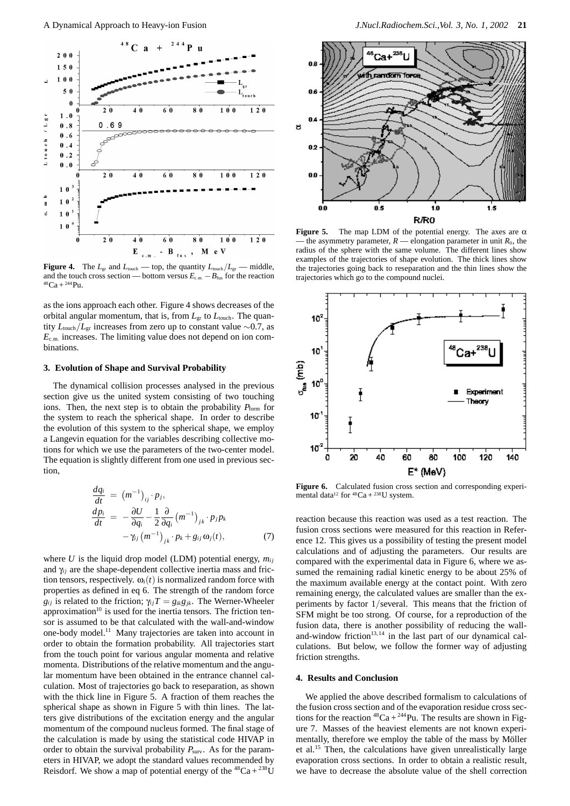

**Figure 4.** The  $L_{\text{gr}}$  and  $L_{\text{touch}}$  — top, the quantity  $L_{\text{touch}}/L_{\text{gr}}$  — middle, and the touch cross section — bottom versus  $E_{\text{c.m.}} - B_{\text{fus}}$  for the reaction  $^{48}Ca + ^{244}Pu$ .

as the ions approach each other. Figure 4 shows decreases of the orbital angular momentum, that is, from  $L_{\text{gr}}$  to  $L_{\text{touch}}$ . The quantity  $L_{\text{touch}}/L_{\text{gr}}$  increases from zero up to constant value ∼0.7, as *E*<sup>c</sup>*.*m*.* increases. The limiting value does not depend on ion combinations.

## **3. Evolution of Shape and Survival Probability**

The dynamical collision processes analysed in the previous section give us the united system consisting of two touching ions. Then, the next step is to obtain the probability  $P_{\text{form}}$  for the system to reach the spherical shape. In order to describe the evolution of this system to the spherical shape, we employ a Langevin equation for the variables describing collective motions for which we use the parameters of the two-center model. The equation is slightly different from one used in previous section,

$$
\begin{aligned}\n\frac{dq_i}{dt} &= (m^{-1})_{ij} \cdot p_j, \\
\frac{dp_i}{dt} &= -\frac{\partial U}{\partial q_i} - \frac{1}{2} \frac{\partial}{\partial q_i} (m^{-1})_{jk} \cdot p_j p_k \\
&- \gamma_{ij} (m^{-1})_{jk} \cdot p_k + g_{ij} \omega_j(t),\n\end{aligned} \tag{7}
$$

where  $U$  is the liquid drop model (LDM) potential energy,  $m_{ij}$ and  $\gamma_{ii}$  are the shape-dependent collective inertia mass and friction tensors, respectively.  $\omega_i(t)$  is normalized random force with properties as defined in eq 6. The strength of the random force *g<sub>ij</sub>* is related to the friction;  $\gamma_{ij}T = g_{ik}g_{jk}$ . The Werner-Wheeler approximation $10$  is used for the inertia tensors. The friction tensor is assumed to be that calculated with the wall-and-window one-body model.11 Many trajectories are taken into account in order to obtain the formation probability. All trajectories start from the touch point for various angular momenta and relative momenta. Distributions of the relative momentum and the angular momentum have been obtained in the entrance channel calculation. Most of trajectories go back to reseparation, as shown with the thick line in Figure 5. A fraction of them reaches the spherical shape as shown in Figure 5 with thin lines. The latters give distributions of the excitation energy and the angular momentum of the compound nucleus formed. The final stage of the calculation is made by using the statistical code HIVAP in order to obtain the survival probability  $P_{\text{surv}}$ . As for the parameters in HIVAP, we adopt the standard values recommended by Reisdorf. We show a map of potential energy of the  ${}^{48}Ca + {}^{238}U$ 



**Figure 5.** The map LDM of the potential energy. The axes are  $\alpha$ the asymmetry parameter,  $R$  — elongation parameter in unit  $R_0$ , the radius of the sphere with the same volume. The different lines show examples of the trajectories of shape evolution. The thick lines show the trajectories going back to reseparation and the thin lines show the trajectories which go to the compound nuclei.



Figure 6. Calculated fusion cross section and corresponding experimental data<sup>12</sup> for  $^{48}Ca + {}^{238}U$  system.

reaction because this reaction was used as a test reaction. The fusion cross sections were measured for this reaction in Reference 12. This gives us a possibility of testing the present model calculations and of adjusting the parameters. Our results are compared with the experimental data in Figure 6, where we assumed the remaining radial kinetic energy to be about 25% of the maximum available energy at the contact point. With zero remaining energy, the calculated values are smaller than the experiments by factor 1*/*several. This means that the friction of SFM might be too strong. Of course, for a reproduction of the fusion data, there is another possibility of reducing the walland-window friction $13,14$  in the last part of our dynamical calculations. But below, we follow the former way of adjusting friction strengths.

### **4. Results and Conclusion**

We applied the above described formalism to calculations of the fusion cross section and of the evaporation residue cross sections for the reaction  ${}^{48}Ca + {}^{244}Pu$ . The results are shown in Figure 7. Masses of the heaviest elements are not known experimentally, therefore we employ the table of the mass by Möller et al.<sup>15</sup> Then, the calculations have given unrealistically large evaporation cross sections. In order to obtain a realistic result, we have to decrease the absolute value of the shell correction